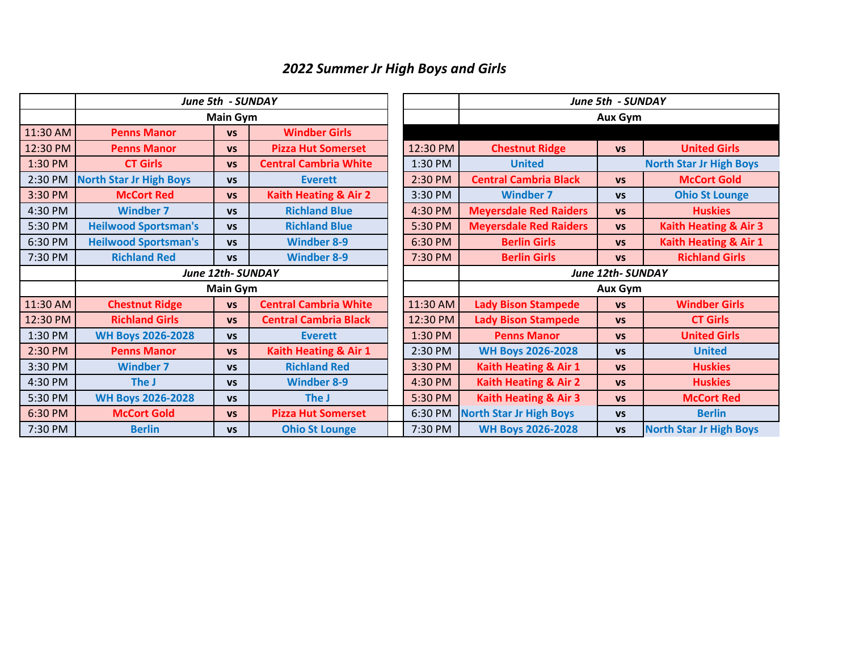|          | June 5th - SUNDAY              |                   |                                  |          |                                  | June 5th - SUNDAY |                              |
|----------|--------------------------------|-------------------|----------------------------------|----------|----------------------------------|-------------------|------------------------------|
|          | <b>Main Gym</b>                |                   |                                  |          | <b>Aux Gym</b>                   |                   |                              |
| 11:30 AM | <b>Penns Manor</b>             | <b>VS</b>         | <b>Windber Girls</b>             |          |                                  |                   |                              |
| 12:30 PM | <b>Penns Manor</b>             | <b>VS</b>         | <b>Pizza Hut Somerset</b>        | 12:30 PM | <b>Chestnut Ridge</b>            | <b>VS</b>         | <b>United Girls</b>          |
| 1:30 PM  | <b>CT Girls</b>                | <b>VS</b>         | <b>Central Cambria White</b>     | 1:30 PM  | <b>United</b>                    |                   | <b>North Star Jr High Bo</b> |
| 2:30 PM  | <b>North Star Jr High Boys</b> | <b>VS</b>         | <b>Everett</b>                   | 2:30 PM  | <b>Central Cambria Black</b>     | <b>VS</b>         | <b>McCort Gold</b>           |
| 3:30 PM  | <b>McCort Red</b>              | <b>VS</b>         | <b>Kaith Heating &amp; Air 2</b> | 3:30 PM  | <b>Windber 7</b>                 | <b>VS</b>         | <b>Ohio St Lounge</b>        |
| 4:30 PM  | <b>Windber 7</b>               | <b>VS</b>         | <b>Richland Blue</b>             | 4:30 PM  | <b>Meyersdale Red Raiders</b>    | <b>VS</b>         | <b>Huskies</b>               |
| 5:30 PM  | <b>Heilwood Sportsman's</b>    | <b>VS</b>         | <b>Richland Blue</b>             | 5:30 PM  | <b>Meyersdale Red Raiders</b>    | <b>VS</b>         | <b>Kaith Heating &amp; A</b> |
| 6:30 PM  | <b>Heilwood Sportsman's</b>    | <b>VS</b>         | <b>Windber 8-9</b>               | 6:30 PM  | <b>Berlin Girls</b>              | <b>VS</b>         | <b>Kaith Heating &amp; A</b> |
| 7:30 PM  | <b>Richland Red</b>            | <b>VS</b>         | <b>Windber 8-9</b>               | 7:30 PM  | <b>Berlin Girls</b>              | <b>VS</b>         | <b>Richland Girls</b>        |
|          |                                | June 12th- SUNDAY |                                  |          |                                  | June 12th-SUNDAY  |                              |
|          |                                | <b>Main Gym</b>   |                                  |          |                                  | Aux Gym           |                              |
| 11:30 AM | <b>Chestnut Ridge</b>          | <b>VS</b>         | <b>Central Cambria White</b>     | 11:30 AM | <b>Lady Bison Stampede</b>       | <b>VS</b>         | <b>Windber Girls</b>         |
| 12:30 PM | <b>Richland Girls</b>          | <b>VS</b>         | <b>Central Cambria Black</b>     | 12:30 PM | <b>Lady Bison Stampede</b>       | <b>VS</b>         | <b>CT Girls</b>              |
| 1:30 PM  | <b>WH Boys 2026-2028</b>       | <b>VS</b>         | <b>Everett</b>                   | 1:30 PM  | <b>Penns Manor</b>               | <b>VS</b>         | <b>United Girls</b>          |
| 2:30 PM  | <b>Penns Manor</b>             | <b>VS</b>         | <b>Kaith Heating &amp; Air 1</b> | 2:30 PM  | <b>WH Boys 2026-2028</b>         | <b>VS</b>         | <b>United</b>                |
| 3:30 PM  | <b>Windber 7</b>               | <b>VS</b>         | <b>Richland Red</b>              | 3:30 PM  | Kaith Heating & Air 1            | <b>VS</b>         | <b>Huskies</b>               |
| 4:30 PM  | The J                          | <b>VS</b>         | <b>Windber 8-9</b>               | 4:30 PM  | <b>Kaith Heating &amp; Air 2</b> | <b>VS</b>         | <b>Huskies</b>               |
| 5:30 PM  | <b>WH Boys 2026-2028</b>       | <b>VS</b>         | The J                            | 5:30 PM  | Kaith Heating & Air 3            | <b>VS</b>         | <b>McCort Red</b>            |
| 6:30 PM  | <b>McCort Gold</b>             | <b>VS</b>         | <b>Pizza Hut Somerset</b>        | 6:30 PM  | <b>North Star Jr High Boys</b>   | <b>VS</b>         | <b>Berlin</b>                |
| 7:30 PM  | <b>Berlin</b>                  | <b>VS</b>         | <b>Ohio St Lounge</b>            | 7:30 PM  | <b>WH Boys 2026-2028</b>         | <b>VS</b>         | <b>North Star Jr High Bo</b> |

## *2022 Summer Jr High Boys and Girls*

**North Star Jr High Boys** 

5:30 PM **Heilwood Sportsman's vs Richland Blue** 5:30 PM **Meyersdale Red Raiders vs Kaith Heating & Air 3** 6:30 PM **Heilwood Sportsman's vs Windber 8-9** 6:30 PM **Berlin Girls vs Kaith Heating & Air 1**

**vs North Star Jr High Boys**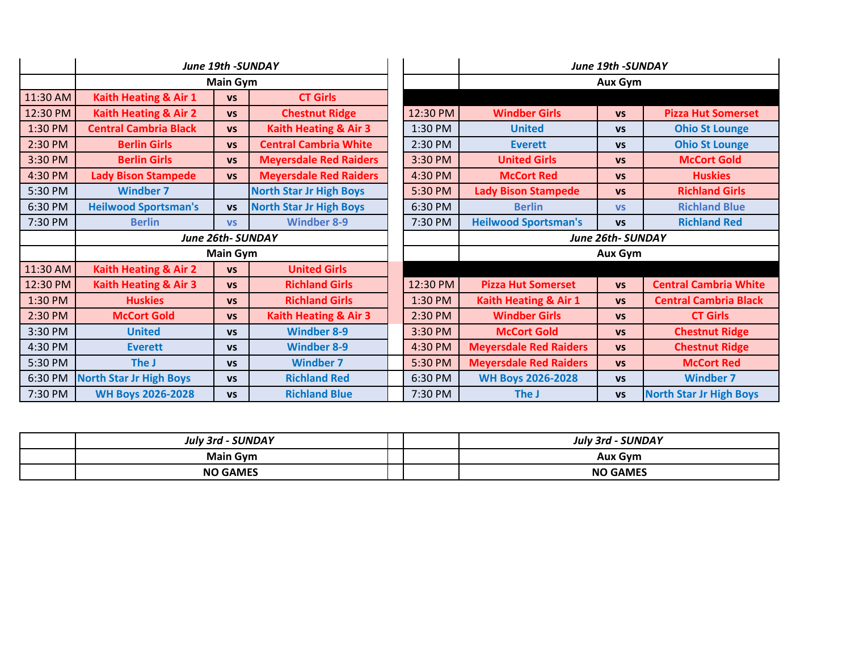|          | June 19th -SUNDAY                |                   |                                  |          | June 19th -SUNDAY             |           |                                |  |
|----------|----------------------------------|-------------------|----------------------------------|----------|-------------------------------|-----------|--------------------------------|--|
|          | <b>Main Gym</b>                  |                   |                                  |          | <b>Aux Gym</b>                |           |                                |  |
| 11:30 AM | <b>Kaith Heating &amp; Air 1</b> | <b>VS</b>         | <b>CT Girls</b>                  |          |                               |           |                                |  |
| 12:30 PM | <b>Kaith Heating &amp; Air 2</b> | <b>VS</b>         | <b>Chestnut Ridge</b>            | 12:30 PM | <b>Windber Girls</b>          | <b>VS</b> | <b>Pizza Hut Somerset</b>      |  |
| 1:30 PM  | <b>Central Cambria Black</b>     | <b>VS</b>         | <b>Kaith Heating &amp; Air 3</b> | 1:30 PM  | <b>United</b>                 | <b>VS</b> | <b>Ohio St Lounge</b>          |  |
| 2:30 PM  | <b>Berlin Girls</b>              | <b>VS</b>         | <b>Central Cambria White</b>     | 2:30 PM  | <b>Everett</b>                | <b>VS</b> | <b>Ohio St Lounge</b>          |  |
| 3:30 PM  | <b>Berlin Girls</b>              | <b>VS</b>         | <b>Meyersdale Red Raiders</b>    | 3:30 PM  | <b>United Girls</b>           | <b>VS</b> | <b>McCort Gold</b>             |  |
| 4:30 PM  | <b>Lady Bison Stampede</b>       | <b>VS</b>         | <b>Meyersdale Red Raiders</b>    | 4:30 PM  | <b>McCort Red</b>             | <b>VS</b> | <b>Huskies</b>                 |  |
| 5:30 PM  | <b>Windber 7</b>                 |                   | <b>North Star Jr High Boys</b>   | 5:30 PM  | <b>Lady Bison Stampede</b>    | <b>VS</b> | <b>Richland Girls</b>          |  |
| 6:30 PM  | <b>Heilwood Sportsman's</b>      | <b>VS</b>         | <b>North Star Jr High Boys</b>   | 6:30 PM  | <b>Berlin</b>                 | <b>VS</b> | <b>Richland Blue</b>           |  |
| 7:30 PM  | <b>Berlin</b>                    | <b>VS</b>         | <b>Windber 8-9</b>               | 7:30 PM  | <b>Heilwood Sportsman's</b>   | <b>VS</b> | <b>Richland Red</b>            |  |
|          |                                  | June 26th- SUNDAY |                                  |          | June 26th-SUNDAY              |           |                                |  |
|          |                                  | <b>Main Gym</b>   |                                  |          | <b>Aux Gym</b>                |           |                                |  |
| 11:30 AM | <b>Kaith Heating &amp; Air 2</b> | <b>VS</b>         | <b>United Girls</b>              |          |                               |           |                                |  |
| 12:30 PM | Kaith Heating & Air 3            | <b>VS</b>         | <b>Richland Girls</b>            | 12:30 PM | <b>Pizza Hut Somerset</b>     | <b>VS</b> | <b>Central Cambria White</b>   |  |
| 1:30 PM  | <b>Huskies</b>                   | <b>VS</b>         | <b>Richland Girls</b>            | 1:30 PM  | Kaith Heating & Air 1         | <b>VS</b> | <b>Central Cambria Black</b>   |  |
| 2:30 PM  | <b>McCort Gold</b>               | <b>VS</b>         | <b>Kaith Heating &amp; Air 3</b> | 2:30 PM  | <b>Windber Girls</b>          | <b>VS</b> | <b>CT Girls</b>                |  |
| 3:30 PM  | <b>United</b>                    | <b>VS</b>         | <b>Windber 8-9</b>               | 3:30 PM  | <b>McCort Gold</b>            | <b>VS</b> | <b>Chestnut Ridge</b>          |  |
| 4:30 PM  | <b>Everett</b>                   | <b>VS</b>         | <b>Windber 8-9</b>               | 4:30 PM  | <b>Meyersdale Red Raiders</b> | <b>VS</b> | <b>Chestnut Ridge</b>          |  |
| 5:30 PM  | The J                            | <b>VS</b>         | <b>Windber 7</b>                 | 5:30 PM  | <b>Meyersdale Red Raiders</b> | <b>VS</b> | <b>McCort Red</b>              |  |
| 6:30 PM  | <b>North Star Jr High Boys</b>   | <b>VS</b>         | <b>Richland Red</b>              | 6:30 PM  | <b>WH Boys 2026-2028</b>      | <b>VS</b> | <b>Windber 7</b>               |  |
| 7:30 PM  | <b>WH Boys 2026-2028</b>         | <b>VS</b>         | <b>Richland Blue</b>             | 7:30 PM  | The J                         | <b>VS</b> | <b>North Star Jr High Boys</b> |  |

| <b>SUNDAY</b><br>July<br>3rd |  | SUNDAY<br>July<br>3rc |
|------------------------------|--|-----------------------|
| Main<br>ı Gvm                |  | <b>Aux Gym</b>        |
| <b>NO GAMES</b>              |  | <b>NO GAMES</b>       |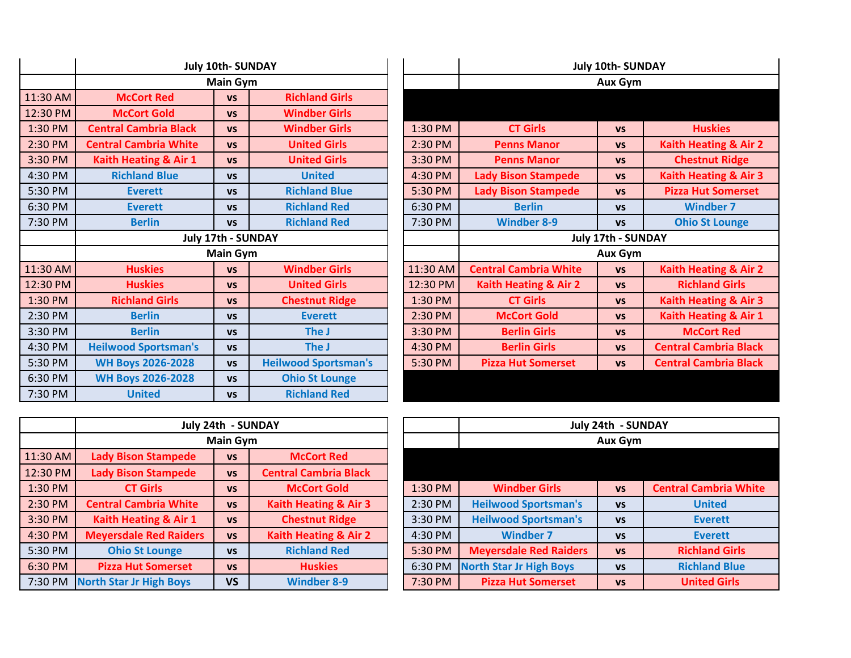|          | <b>July 10th- SUNDAY</b>     |                 |                             |          | <b>July 10th- SUNDAY</b>     |                    |                                  |
|----------|------------------------------|-----------------|-----------------------------|----------|------------------------------|--------------------|----------------------------------|
|          |                              | <b>Main Gym</b> |                             |          | <b>Aux Gym</b>               |                    |                                  |
| 11:30 AM | <b>McCort Red</b>            | <b>VS</b>       | <b>Richland Girls</b>       |          |                              |                    |                                  |
| 12:30 PM | <b>McCort Gold</b>           | <b>VS</b>       | <b>Windber Girls</b>        |          |                              |                    |                                  |
| 1:30 PM  | <b>Central Cambria Black</b> | <b>VS</b>       | <b>Windber Girls</b>        | 1:30 PM  | <b>CT Girls</b>              | <b>VS</b>          | <b>Huskies</b>                   |
| 2:30 PM  | <b>Central Cambria White</b> | <b>VS</b>       | <b>United Girls</b>         | 2:30 PM  | <b>Penns Manor</b>           | <b>VS</b>          | <b>Kaith Heating &amp; Air 2</b> |
| 3:30 PM  | Kaith Heating & Air 1        | <b>VS</b>       | <b>United Girls</b>         | 3:30 PM  | <b>Penns Manor</b>           | <b>VS</b>          | <b>Chestnut Ridge</b>            |
| 4:30 PM  | <b>Richland Blue</b>         | <b>VS</b>       | <b>United</b>               | 4:30 PM  | <b>Lady Bison Stampede</b>   | <b>VS</b>          | <b>Kaith Heating &amp; Air 3</b> |
| 5:30 PM  | <b>Everett</b>               | <b>VS</b>       | <b>Richland Blue</b>        | 5:30 PM  | <b>Lady Bison Stampede</b>   | <b>VS</b>          | <b>Pizza Hut Somerset</b>        |
| 6:30 PM  | <b>Everett</b>               | <b>VS</b>       | <b>Richland Red</b>         | 6:30 PM  | <b>Berlin</b>                | <b>VS</b>          | <b>Windber 7</b>                 |
| 7:30 PM  | <b>Berlin</b>                | <b>VS</b>       | <b>Richland Red</b>         | 7:30 PM  | <b>Windber 8-9</b>           | <b>VS</b>          | <b>Ohio St Lounge</b>            |
|          | July 17th - SUNDAY           |                 |                             |          |                              |                    |                                  |
|          |                              |                 |                             |          |                              | July 17th - SUNDAY |                                  |
|          |                              | <b>Main Gym</b> |                             |          |                              | <b>Aux Gym</b>     |                                  |
| 11:30 AM | <b>Huskies</b>               | <b>VS</b>       | <b>Windber Girls</b>        | 11:30 AM | <b>Central Cambria White</b> | <b>VS</b>          | <b>Kaith Heating &amp; Air 2</b> |
| 12:30 PM | <b>Huskies</b>               | <b>VS</b>       | <b>United Girls</b>         | 12:30 PM | Kaith Heating & Air 2        | <b>VS</b>          | <b>Richland Girls</b>            |
| 1:30 PM  | <b>Richland Girls</b>        | <b>VS</b>       | <b>Chestnut Ridge</b>       | 1:30 PM  | <b>CT Girls</b>              | <b>VS</b>          | <b>Kaith Heating &amp; Air 3</b> |
| 2:30 PM  | <b>Berlin</b>                | <b>VS</b>       | <b>Everett</b>              | 2:30 PM  | <b>McCort Gold</b>           | <b>VS</b>          | Kaith Heating & Air 1            |
| 3:30 PM  | <b>Berlin</b>                | <b>VS</b>       | The J                       | 3:30 PM  | <b>Berlin Girls</b>          | <b>VS</b>          | <b>McCort Red</b>                |
| 4:30 PM  | <b>Heilwood Sportsman's</b>  | <b>VS</b>       | The J                       | 4:30 PM  | <b>Berlin Girls</b>          | <b>VS</b>          | <b>Central Cambria Black</b>     |
| 5:30 PM  | <b>WH Boys 2026-2028</b>     | <b>VS</b>       | <b>Heilwood Sportsman's</b> | 5:30 PM  | <b>Pizza Hut Somerset</b>    | <b>VS</b>          | <b>Central Cambria Black</b>     |
| 6:30 PM  | <b>WH Boys 2026-2028</b>     | <b>VS</b>       | <b>Ohio St Lounge</b>       |          |                              |                    |                                  |

|                          | <b>July 10th- SUNDAY</b> |                             |          | <b>July 10th- SUNDAY</b>         |                    |                                  |  |  |  |
|--------------------------|--------------------------|-----------------------------|----------|----------------------------------|--------------------|----------------------------------|--|--|--|
|                          | <b>Main Gym</b>          |                             |          | <b>Aux Gym</b>                   |                    |                                  |  |  |  |
|                          | <b>VS</b>                | <b>Richland Girls</b>       |          |                                  |                    |                                  |  |  |  |
|                          | <b>VS</b>                | <b>Windber Girls</b>        |          |                                  |                    |                                  |  |  |  |
| ack                      | <b>VS</b>                | <b>Windber Girls</b>        | 1:30 PM  | <b>CT Girls</b>                  | <b>VS</b>          | <b>Huskies</b>                   |  |  |  |
| iite                     | <b>VS</b>                | <b>United Girls</b>         | 2:30 PM  | <b>Penns Manor</b>               | <b>VS</b>          | <b>Kaith Heating &amp; Air 2</b> |  |  |  |
| r1                       | <b>VS</b>                | <b>United Girls</b>         | 3:30 PM  | <b>Penns Manor</b>               | <b>VS</b>          | <b>Chestnut Ridge</b>            |  |  |  |
|                          | <b>VS</b>                | <b>United</b>               | 4:30 PM  | <b>Lady Bison Stampede</b>       | <b>VS</b>          | <b>Kaith Heating &amp; Air 3</b> |  |  |  |
|                          | <b>VS</b>                | <b>Richland Blue</b>        | 5:30 PM  | <b>Lady Bison Stampede</b>       | <b>VS</b>          | <b>Pizza Hut Somerset</b>        |  |  |  |
|                          | <b>VS</b>                | <b>Richland Red</b>         | 6:30 PM  | <b>Berlin</b>                    | <b>VS</b>          | <b>Windber 7</b>                 |  |  |  |
|                          | <b>VS</b>                | <b>Richland Red</b>         | 7:30 PM  | <b>Windber 8-9</b>               | <b>VS</b>          | <b>Ohio St Lounge</b>            |  |  |  |
|                          | July 17th - SUNDAY       |                             |          |                                  | July 17th - SUNDAY |                                  |  |  |  |
|                          | <b>Main Gym</b>          |                             |          |                                  | <b>Aux Gym</b>     |                                  |  |  |  |
|                          | <b>VS</b>                | <b>Windber Girls</b>        | 11:30 AM | <b>Central Cambria White</b>     | <b>VS</b>          | <b>Kaith Heating &amp; Air 2</b> |  |  |  |
|                          | <b>VS</b>                | <b>United Girls</b>         | 12:30 PM | <b>Kaith Heating &amp; Air 2</b> | <b>VS</b>          | <b>Richland Girls</b>            |  |  |  |
|                          | <b>VS</b>                | <b>Chestnut Ridge</b>       | 1:30 PM  | <b>CT Girls</b>                  | <b>VS</b>          | <b>Kaith Heating &amp; Air 3</b> |  |  |  |
|                          | <b>VS</b>                | <b>Everett</b>              | 2:30 PM  | <b>McCort Gold</b>               | <b>VS</b>          | Kaith Heating & Air 1            |  |  |  |
|                          | <b>VS</b>                | The J                       | 3:30 PM  | <b>Berlin Girls</b>              | <b>VS</b>          | <b>McCort Red</b>                |  |  |  |
| $\mathsf{in}'\mathsf{s}$ | <b>VS</b>                | The J                       | 4:30 PM  | <b>Berlin Girls</b>              | <b>VS</b>          | <b>Central Cambria Black</b>     |  |  |  |
| 28                       | <b>VS</b>                | <b>Heilwood Sportsman's</b> | 5:30 PM  | <b>Pizza Hut Somerset</b>        | <b>VS</b>          | <b>Central Cambria Black</b>     |  |  |  |
| 28                       | <b>VS</b>                | <b>Ohio St Lounge</b>       |          |                                  |                    |                                  |  |  |  |

|          | July 24th - SUNDAY              |           |                              |         | July 24th - SUNDAY             |           |                              |
|----------|---------------------------------|-----------|------------------------------|---------|--------------------------------|-----------|------------------------------|
|          | <b>Main Gym</b>                 |           |                              |         | <b>Aux Gym</b>                 |           |                              |
| 11:30 AM | <b>Lady Bison Stampede</b>      | <b>VS</b> | <b>McCort Red</b>            |         |                                |           |                              |
| 12:30 PM | <b>Lady Bison Stampede</b>      | <b>VS</b> | <b>Central Cambria Black</b> |         |                                |           |                              |
| 1:30 PM  | <b>CT Girls</b>                 | <b>VS</b> | <b>McCort Gold</b>           | 1:30 PM | <b>Windber Girls</b>           | <b>VS</b> | <b>Central Cambria White</b> |
| 2:30 PM  | <b>Central Cambria White</b>    | <b>VS</b> | Kaith Heating & Air 3        | 2:30 PM | <b>Heilwood Sportsman's</b>    | <b>VS</b> | <b>United</b>                |
| 3:30 PM  | Kaith Heating & Air 1           | <b>VS</b> | <b>Chestnut Ridge</b>        | 3:30 PM | <b>Heilwood Sportsman's</b>    | <b>VS</b> | <b>Everett</b>               |
| 4:30 PM  | <b>Meyersdale Red Raiders</b>   | <b>VS</b> | Kaith Heating & Air 2        | 4:30 PM | <b>Windber 7</b>               | <b>VS</b> | <b>Everett</b>               |
| 5:30 PM  | <b>Ohio St Lounge</b>           | <b>VS</b> | <b>Richland Red</b>          | 5:30 PM | <b>Meyersdale Red Raiders</b>  | <b>VS</b> | <b>Richland Girls</b>        |
| 6:30 PM  | <b>Pizza Hut Somerset</b>       | <b>VS</b> | <b>Huskies</b>               | 6:30 PM | <b>North Star Jr High Boys</b> | <b>VS</b> | <b>Richland Blue</b>         |
|          | 7:30 PM North Star Jr High Boys | <b>VS</b> | <b>Windber 8-9</b>           | 7:30 PM | <b>Pizza Hut Somerset</b>      | <b>VS</b> | <b>United Girls</b>          |

|                            |                 | July 24th - SUNDAY<br>July 24th - SUNDAY |         |                                 |           |                              |  |  |  |
|----------------------------|-----------------|------------------------------------------|---------|---------------------------------|-----------|------------------------------|--|--|--|
|                            | <b>Main Gym</b> |                                          |         | Aux Gym                         |           |                              |  |  |  |
| ede!                       | <b>VS</b>       | <b>McCort Red</b>                        |         |                                 |           |                              |  |  |  |
| ede.                       | <b>VS</b>       | <b>Central Cambria Black</b>             |         |                                 |           |                              |  |  |  |
|                            | <b>VS</b>       | <b>McCort Gold</b>                       | 1:30 PM | <b>Windber Girls</b>            | <b>VS</b> | <b>Central Cambria White</b> |  |  |  |
| <b>nite</b>                | <b>VS</b>       | Kaith Heating & Air 3                    | 2:30 PM | <b>Heilwood Sportsman's</b>     | <b>VS</b> | <b>United</b>                |  |  |  |
| $\mathsf{ir}\, \mathbf{1}$ | <b>VS</b>       | <b>Chestnut Ridge</b>                    | 3:30 PM | <b>Heilwood Sportsman's</b>     | <b>VS</b> | <b>Everett</b>               |  |  |  |
| <b>iders</b>               | <b>VS</b>       | Kaith Heating & Air 2                    | 4:30 PM | <b>Windber 7</b>                | <b>VS</b> | <b>Everett</b>               |  |  |  |
|                            | <b>VS</b>       | <b>Richland Red</b>                      | 5:30 PM | <b>Meyersdale Red Raiders</b>   | <b>VS</b> | <b>Richland Girls</b>        |  |  |  |
| et.                        | <b>VS</b>       | <b>Huskies</b>                           |         | 6:30 PM North Star Jr High Boys | <b>VS</b> | <b>Richland Blue</b>         |  |  |  |
| ys                         | <b>VS</b>       | <b>Windber 8-9</b>                       | 7:30 PM | <b>Pizza Hut Somerset</b>       | <b>VS</b> | <b>United Girls</b>          |  |  |  |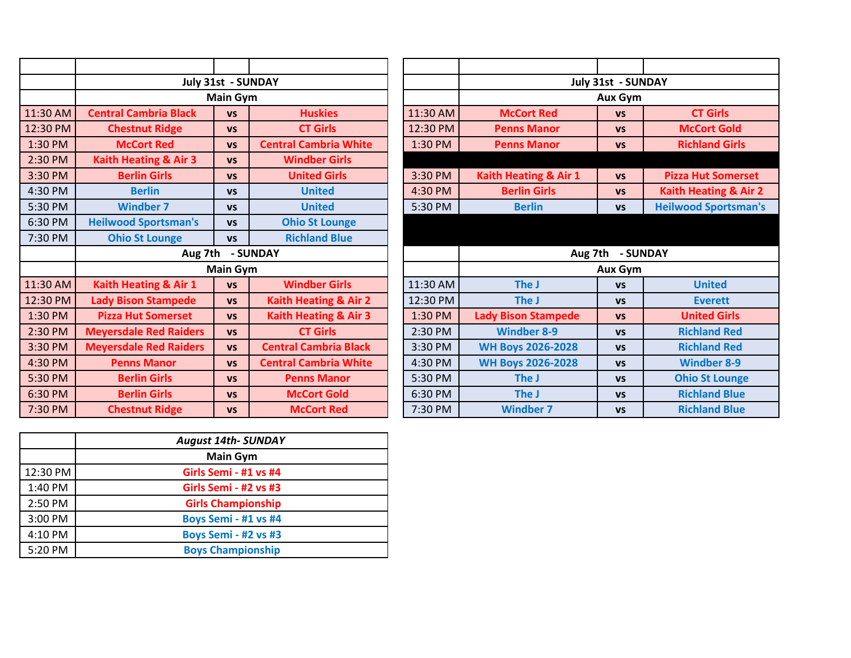|          | July 31st - SUNDAY               |                 |                                  | July 31st - SUNDAY |                            |           |                                  |
|----------|----------------------------------|-----------------|----------------------------------|--------------------|----------------------------|-----------|----------------------------------|
|          |                                  | <b>Main Gym</b> |                                  |                    | Aux Gym                    |           |                                  |
| 11:30 AM | <b>Central Cambria Black</b>     | <b>VS</b>       | <b>Huskies</b>                   | 11:30 AM           | <b>McCort Red</b>          | <b>VS</b> | <b>CT Girls</b>                  |
| 12:30 PM | <b>Chestnut Ridge</b>            | <b>VS</b>       | <b>CT Girls</b>                  | 12:30 PM           | <b>Penns Manor</b>         | <b>VS</b> | <b>McCort Gold</b>               |
| 1:30 PM  | <b>McCort Red</b>                | <b>VS</b>       | <b>Central Cambria White</b>     | 1:30 PM            | <b>Penns Manor</b>         | <b>VS</b> | <b>Richland Girls</b>            |
| 2:30 PM  | <b>Kaith Heating &amp; Air 3</b> | <b>VS</b>       | <b>Windber Girls</b>             |                    |                            |           |                                  |
| 3:30 PM  | <b>Berlin Girls</b>              | <b>VS</b>       | <b>United Girls</b>              | 3:30 PM            | Kaith Heating & Air 1      | <b>VS</b> | <b>Pizza Hut Somerset</b>        |
| 4:30 PM  | <b>Berlin</b>                    | <b>VS</b>       | <b>United</b>                    | 4:30 PM            | <b>Berlin Girls</b>        | <b>VS</b> | <b>Kaith Heating &amp; Air 2</b> |
| 5:30 PM  | <b>Windber 7</b>                 | <b>VS</b>       | <b>United</b>                    | 5:30 PM            | <b>Berlin</b>              | <b>VS</b> | <b>Heilwood Sportsman's</b>      |
| 6:30 PM  | <b>Heilwood Sportsman's</b>      | <b>VS</b>       | <b>Ohio St Lounge</b>            |                    |                            |           |                                  |
| 7:30 PM  | <b>Ohio St Lounge</b>            | <b>VS</b>       | <b>Richland Blue</b>             |                    |                            |           |                                  |
|          | Aug 7th                          |                 | - SUNDAY                         |                    | Aug 7th - SUNDAY           |           |                                  |
|          |                                  | <b>Main Gym</b> |                                  |                    | <b>Aux Gym</b>             |           |                                  |
| 11:30 AM | Kaith Heating & Air 1            | <b>VS</b>       | <b>Windber Girls</b>             | 11:30 AM           | The J                      | <b>VS</b> | <b>United</b>                    |
| 12:30 PM | <b>Lady Bison Stampede</b>       | <b>VS</b>       | Kaith Heating & Air 2            | 12:30 PM           | The J                      | <b>VS</b> | <b>Everett</b>                   |
| 1:30 PM  | <b>Pizza Hut Somerset</b>        | <b>VS</b>       | <b>Kaith Heating &amp; Air 3</b> | 1:30 PM            | <b>Lady Bison Stampede</b> | <b>VS</b> | <b>United Girls</b>              |
| 2:30 PM  | <b>Meyersdale Red Raiders</b>    | <b>VS</b>       | <b>CT Girls</b>                  | 2:30 PM            | <b>Windber 8-9</b>         | <b>VS</b> | <b>Richland Red</b>              |
| 3:30 PM  | <b>Meyersdale Red Raiders</b>    | <b>VS</b>       | <b>Central Cambria Black</b>     | 3:30 PM            | <b>WH Boys 2026-2028</b>   | <b>VS</b> | <b>Richland Red</b>              |
| 4:30 PM  | <b>Penns Manor</b>               | <b>VS</b>       | <b>Central Cambria White</b>     | 4:30 PM            | <b>WH Boys 2026-2028</b>   | <b>VS</b> | <b>Windber 8-9</b>               |
| 5:30 PM  | <b>Berlin Girls</b>              | <b>VS</b>       | <b>Penns Manor</b>               | 5:30 PM            | The J                      | <b>VS</b> | <b>Ohio St Lounge</b>            |
| 6:30 PM  | <b>Berlin Girls</b>              | <b>VS</b>       | <b>McCort Gold</b>               | 6:30 PM            | The J                      | <b>VS</b> | <b>Richland Blue</b>             |
| 7:30 PM  | <b>Chestnut Ridge</b>            | <b>VS</b>       | <b>McCort Red</b>                | 7:30 PM            | <b>Windber 7</b>           | <b>VS</b> | <b>Richland Blue</b>             |

|           |                              | July 31st - SUNDAY |                              |          |                       | July 31st - SUNDAY |                             |  |
|-----------|------------------------------|--------------------|------------------------------|----------|-----------------------|--------------------|-----------------------------|--|
|           | <b>Main Gym</b>              |                    |                              |          |                       | Aux Gym            |                             |  |
| $1:30$ AM | <b>Central Cambria Black</b> | <b>VS</b>          | <b>Huskies</b>               | 11:30 AM | <b>McCort Red</b>     | <b>VS</b>          | <b>CT Girls</b>             |  |
| 12:30 PM  | <b>Chestnut Ridge</b>        | <b>VS</b>          | <b>CT Girls</b>              | 12:30 PM | <b>Penns Manor</b>    | <b>VS</b>          | <b>McCort Gold</b>          |  |
| 1:30 PM   | <b>McCort Red</b>            | <b>VS</b>          | <b>Central Cambria White</b> | 1:30 PM  | <b>Penns Manor</b>    | <b>VS</b>          | <b>Richland Girls</b>       |  |
| 2:30 PM   | Kaith Heating & Air 3        | <b>VS</b>          | <b>Windber Girls</b>         |          |                       |                    |                             |  |
| 3:30 PM   | <b>Berlin Girls</b>          | <b>VS</b>          | <b>United Girls</b>          | 3:30 PM  | Kaith Heating & Air 1 | <b>VS</b>          | <b>Pizza Hut Somerset</b>   |  |
| 4:30 PM   | <b>Berlin</b>                | <b>VS</b>          | <b>United</b>                | 4:30 PM  | <b>Berlin Girls</b>   | <b>VS</b>          | Kaith Heating & Air 2       |  |
| 5:30 PM   | <b>Windber 7</b>             | <b>VS</b>          | <b>United</b>                | 5:30 PM  | <b>Berlin</b>         | <b>VS</b>          | <b>Heilwood Sportsman's</b> |  |
| 6:30 PM   | <b>Heilwood Sportsman's</b>  | <b>VS</b>          | <b>Ohio St Lounge</b>        |          |                       |                    |                             |  |
| 7:30 PM   | <b>Ohio St Lounge</b>        | <b>VS</b>          | <b>Richland Blue</b>         |          |                       |                    |                             |  |
|           | Aug 7th                      |                    | - SUNDAY                     |          | - SUNDAY<br>Aug 7th   |                    |                             |  |
|           |                              | <b>Main Gym</b>    |                              |          | Aux Gym               |                    |                             |  |
|           |                              |                    |                              |          |                       |                    |                             |  |

|          | <b>August 14th- SUNDAY</b> |
|----------|----------------------------|
|          | <b>Main Gym</b>            |
| 12:30 PM | Girls Semi - #1 vs #4      |
| 1:40 PM  | Girls Semi - #2 vs #3      |
| 2:50 PM  | <b>Girls Championship</b>  |
| 3:00 PM  | Boys Semi - #1 vs #4       |
| 4:10 PM  | Boys Semi - #2 vs #3       |
| 5:20 PM  | <b>Boys Championship</b>   |